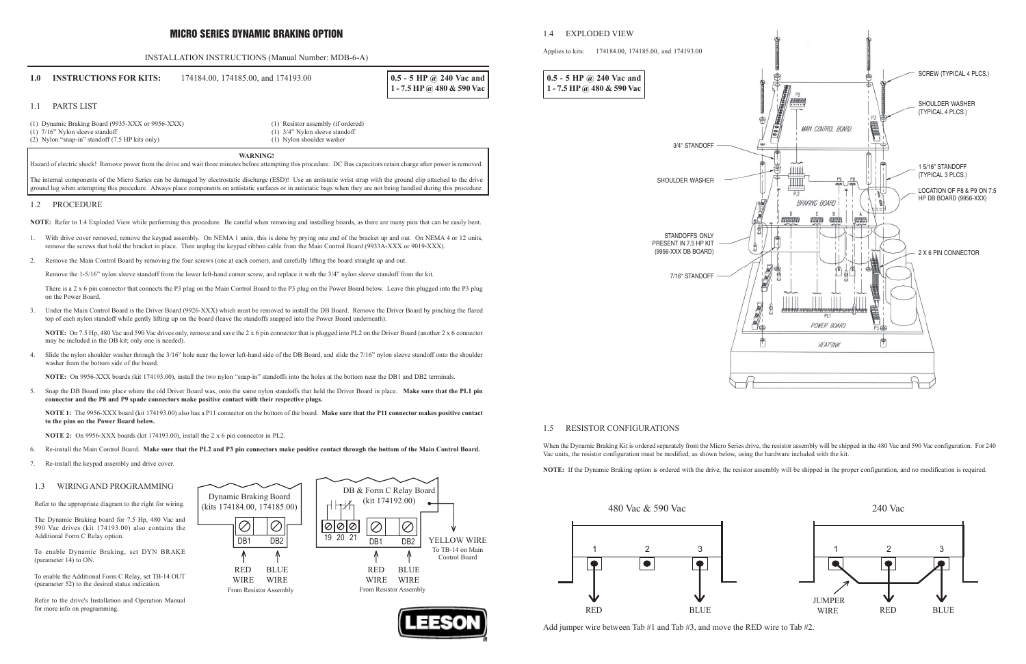## MICRO SERIES DYNAMIC BRAKING OPTION

## INSTALLATION INSTRUCTIONS (Manual Number: MDB-6-A) **1.0 INSTRUCTIONS FOR KITS:** 174184.00, 174185.00, and 174193.00 1.1 PARTS LIST (1) Dynamic Braking Board (9935-XXX or 9956-XXX) (1) Resistor assembly (if ordered) (1)  $7/16$ " Nylon sleeve standoff (2) Nylon sleeve standoff (2) Nylon sleeve standoff (2) Nylon sleeve standoff (2) Nylon sleeve standoff (2)  $\frac{3}{4}$ " Nylon sleeve standoff (2) Nylon sleeve standoff (2)  $\frac{3}{4}$ " Nylon (2) Nylon "snap-in" standoff  $(7.5$  HP kits only) **WARNING!** Hazard of electric shock! Remove power from the drive and wait three minutes before attempting this procedure. DC Bus capacitors retain charge after power is removed. The internal components of the Micro Series can be damaged by electrostatic discharge (ESD)! Use an antistatic wrist strap with the ground clip attached to the drive ground lug when attempting this procedure. Always place components on antistatic surfaces or in antistatic bags when they are not being handled during this procedure. 1.2 PROCEDURE **NOTE:** Refer to 1.4 Exploded View while performing this procedure. Be careful when removing and installing boards, as there are many pins that can be easily bent. 1. With drive cover removed, remove the keypad assembly. On NEMA 1 units, this is done by prying one end of the bracket up and out. On NEMA 4 or 12 units, remove the screws that hold the bracket in place. Then unplug the keypad ribbon cable from the Main Control Board (9933A-XXX or 9019-XXX). 2. Remove the Main Control Board by removing the four screws (one at each corner), and carefully lifting the board straight up and out. Remove the 1-5/16" nylon sleeve standoff from the lower left-hand corner screw, and replace it with the 3/4" nylon sleeve standoff from the kit. There is a 2 x 6 pin connector that connects the P3 plug on the Main Control Board to the P3 plug on the Power Board below. Leave this plugged into the P3 plug on the Power Board. 3. Under the Main Control Board is the Driver Board (9926-XXX) which must be removed to install the DB Board. Remove the Driver Board by pinching the flared top of each nylon standoff while gently lifting up on the board (leave the standoffs snapped into the Power Board underneath). **NOTE:** On 7.5 Hp, 480 Vac and 590 Vac drives only, remove and save the 2 x 6 pin connector that is plugged into PL2 on the Driver Board (another 2 x 6 connector may be included in the DB kit; only one is needed). 4. Slide the nylon shoulder washer through the 3/16" hole near the lower left-hand side of the DB Board, and slide the 7/16" nylon sleeve standoff onto the shoulder washer from the bottom side of the board. **NOTE:** On 9956-XXX boards (kit 174193.00), install the two nylon "snap-in" standoffs into the holes at the bottom near the DB1 and DB2 terminals. 5. Snap the DB Board into place where the old Driver Board was, onto the same nylon standoffs that held the Driver Board in place. **Make sure that the PL1 pin connector and the P8 and P9 spade connectors make positive contact with their respective plugs. NOTE 1:** The 9956-XXX board (kit 174193.00) also has a P11 connector on the bottom of the board. **Make sure that the P11 connector makes positive contact to the pins on the Power Board below. NOTE 2:** On 9956-XXX boards (kit 174193.00), install the 2 x 6 pin connector in PL2. 6. Re-install the Main Control Board. **Make sure that the PL2 and P3 pin connectors make positive contact through the bottom of the Main Control Board.** 7. Re-install the keypad assembly and drive cover. **0.5 - 5 HP @ 240 Vac and 1 - 7.5 HP @ 480 & 590 Vac** 1.5 RESISTOR CONFIGURATIONS Vac units, the resistor configuration must be modified, as shown below, using the hardware included with the kit. 3/4" STANDOFF SHOULDER WASHER STANDOFFS ONLY PRESENT IN 7.5 HP KIT (9956-XXX DB BOARD) 7/16" STANDOFF **0.5 - 5 HP @ 240 Vac and 1 - 7.5 HP @ 480 & 590 Vac**

1.3 WIRING AND PROGRAMMING Refer to the appropriate diagram to the right for wiring.

The Dynamic Braking board for 7.5 Hp, 480 Vac and 590 Vac drives (kit 174193.00) also contains the Additional Form C Relay option.

To enable Dynamic Braking, set DYN BRAKE (parameter 14) to ON.

To enable the Additional Form C Relay, set TB-14 OUT (parameter 52) to the desired status indication.

Refer to the drive's Installation and Operation Manual for more info on programming.





When the Dynamic Braking Kit is ordered separately from the Micro Series drive, the resistor assembly will be shipped in the 480 Vac and 590 Vac configuration. For 240

**NOTE:** If the Dynamic Braking option is ordered with the drive, the resistor assembly will be shipped in the proper configuration, and no modification is required.





Add jumper wire between Tab #1 and Tab #3, and move the RED wire to Tab #2.



# 1.4 EXPLODED VIEW

Applies to kits: 174184.00, 174185.00, and 174193.00